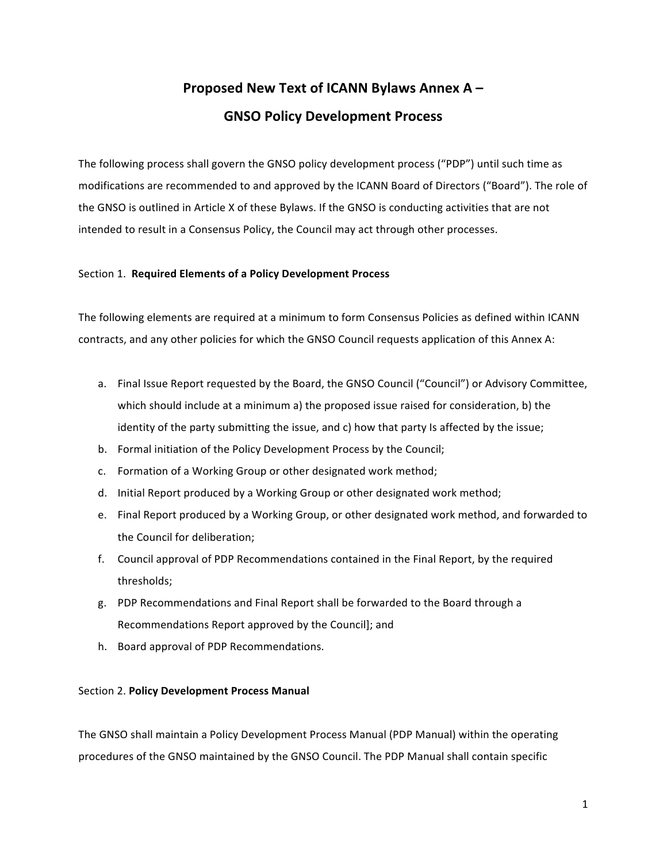# **Proposed New Text of ICANN Bylaws Annex A – GNSO Policy Development Process**

The following process shall govern the GNSO policy development process ("PDP") until such time as modifications are recommended to and approved by the ICANN Board of Directors ("Board"). The role of the GNSO is outlined in Article X of these Bylaws. If the GNSO is conducting activities that are not intended to result in a Consensus Policy, the Council may act through other processes.

## Section 1. Required Elements of a Policy Development Process

The following elements are required at a minimum to form Consensus Policies as defined within ICANN contracts, and any other policies for which the GNSO Council requests application of this Annex A:

- a. Final Issue Report requested by the Board, the GNSO Council ("Council") or Advisory Committee, which should include at a minimum a) the proposed issue raised for consideration, b) the identity of the party submitting the issue, and c) how that party Is affected by the issue;
- b. Formal initiation of the Policy Development Process by the Council;
- c. Formation of a Working Group or other designated work method;
- d. Initial Report produced by a Working Group or other designated work method;
- e. Final Report produced by a Working Group, or other designated work method, and forwarded to the Council for deliberation;
- f. Council approval of PDP Recommendations contained in the Final Report, by the required thresholds;
- g. PDP Recommendations and Final Report shall be forwarded to the Board through a Recommendations Report approved by the Council]; and
- h. Board approval of PDP Recommendations.

## Section 2. **Policy Development Process Manual**

The GNSO shall maintain a Policy Development Process Manual (PDP Manual) within the operating procedures of the GNSO maintained by the GNSO Council. The PDP Manual shall contain specific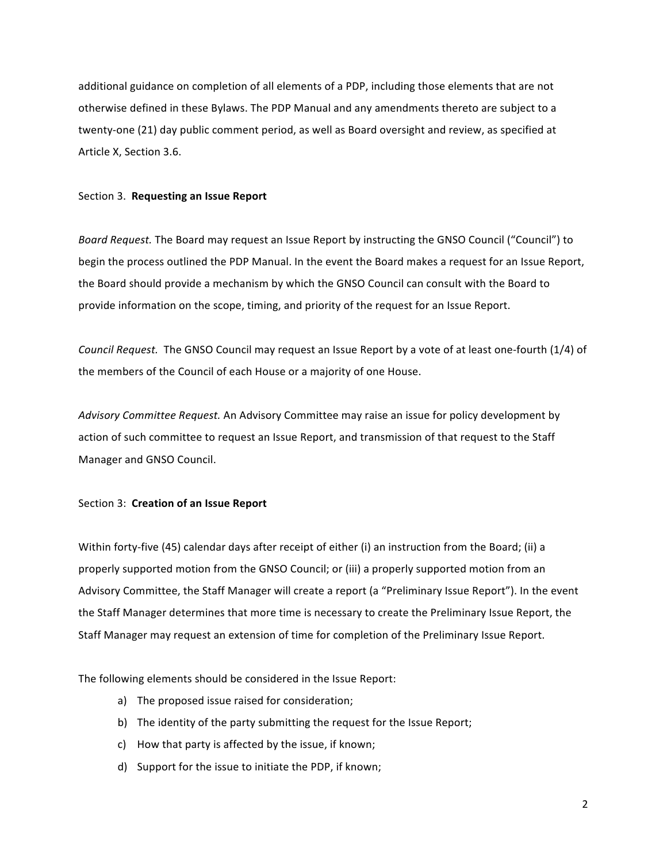additional guidance on completion of all elements of a PDP, including those elements that are not otherwise defined in these Bylaws. The PDP Manual and any amendments thereto are subject to a twenty-one (21) day public comment period, as well as Board oversight and review, as specified at Article X, Section 3.6.

#### Section 3. Requesting an Issue Report

Board Request. The Board may request an Issue Report by instructing the GNSO Council ("Council") to begin the process outlined the PDP Manual. In the event the Board makes a request for an Issue Report, the Board should provide a mechanism by which the GNSO Council can consult with the Board to provide information on the scope, timing, and priority of the request for an Issue Report.

*Council Request.* The GNSO Council may request an Issue Report by a vote of at least one-fourth (1/4) of the members of the Council of each House or a majority of one House.

Advisory Committee Request. An Advisory Committee may raise an issue for policy development by action of such committee to request an Issue Report, and transmission of that request to the Staff Manager and GNSO Council.

## Section 3: Creation of an Issue Report

Within forty-five (45) calendar days after receipt of either (i) an instruction from the Board; (ii) a properly supported motion from the GNSO Council; or (iii) a properly supported motion from an Advisory Committee, the Staff Manager will create a report (a "Preliminary Issue Report"). In the event the Staff Manager determines that more time is necessary to create the Preliminary Issue Report, the Staff Manager may request an extension of time for completion of the Preliminary Issue Report.

The following elements should be considered in the Issue Report:

- a) The proposed issue raised for consideration;
- b) The identity of the party submitting the request for the Issue Report;
- c) How that party is affected by the issue, if known;
- d) Support for the issue to initiate the PDP, if known;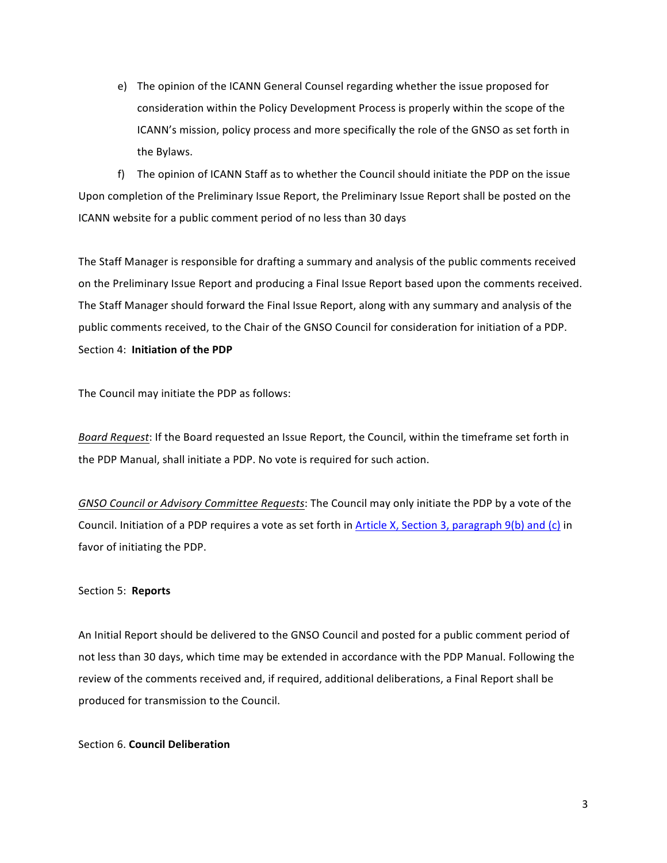e) The opinion of the ICANN General Counsel regarding whether the issue proposed for consideration within the Policy Development Process is properly within the scope of the ICANN's mission, policy process and more specifically the role of the GNSO as set forth in the Bylaws.

f) The opinion of ICANN Staff as to whether the Council should initiate the PDP on the issue Upon completion of the Preliminary Issue Report, the Preliminary Issue Report shall be posted on the ICANN website for a public comment period of no less than 30 days

The Staff Manager is responsible for drafting a summary and analysis of the public comments received on the Preliminary Issue Report and producing a Final Issue Report based upon the comments received. The Staff Manager should forward the Final Issue Report, along with any summary and analysis of the public comments received, to the Chair of the GNSO Council for consideration for initiation of a PDP. Section 4: **Initiation of the PDP** 

The Council may initiate the PDP as follows:

*Board Request*: If the Board requested an Issue Report, the Council, within the timeframe set forth in the PDP Manual, shall initiate a PDP. No vote is required for such action.

GNSO Council or Advisory Committee Requests: The Council may only initiate the PDP by a vote of the Council. Initiation of a PDP requires a vote as set forth in Article X, Section 3, paragraph 9(b) and (c) in favor of initiating the PDP.

## Section 5: Reports

An Initial Report should be delivered to the GNSO Council and posted for a public comment period of not less than 30 days, which time may be extended in accordance with the PDP Manual. Following the review of the comments received and, if required, additional deliberations, a Final Report shall be produced for transmission to the Council.

## Section 6. **Council Deliberation**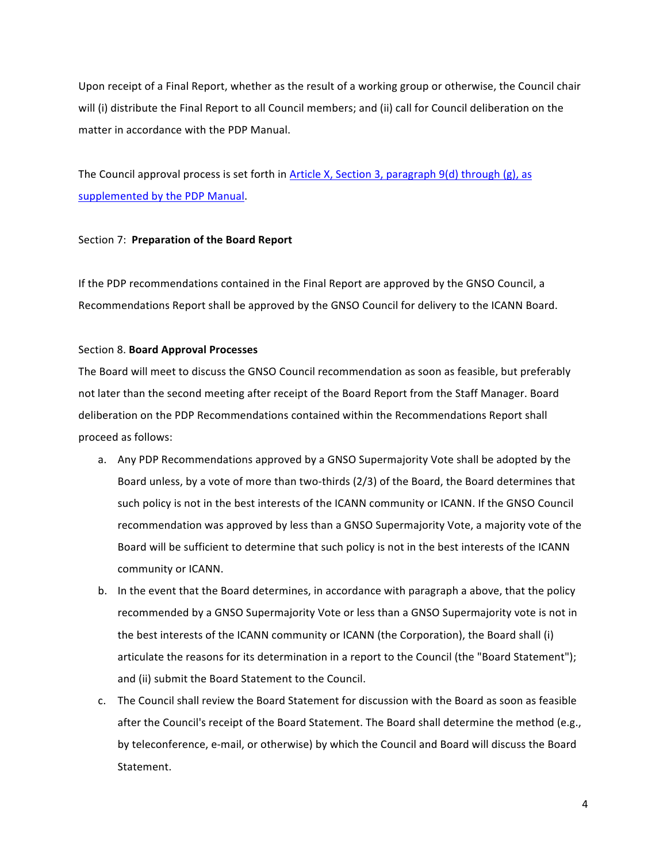Upon receipt of a Final Report, whether as the result of a working group or otherwise, the Council chair will (i) distribute the Final Report to all Council members; and (ii) call for Council deliberation on the matter in accordance with the PDP Manual.

The Council approval process is set forth in Article X, Section 3, paragraph  $9(d)$  through (g), as supplemented by the PDP Manual.

## Section 7: Preparation of the Board Report

If the PDP recommendations contained in the Final Report are approved by the GNSO Council, a Recommendations Report shall be approved by the GNSO Council for delivery to the ICANN Board.

## Section 8. **Board Approval Processes**

The Board will meet to discuss the GNSO Council recommendation as soon as feasible, but preferably not later than the second meeting after receipt of the Board Report from the Staff Manager. Board deliberation on the PDP Recommendations contained within the Recommendations Report shall proceed as follows:

- a. Any PDP Recommendations approved by a GNSO Supermajority Vote shall be adopted by the Board unless, by a vote of more than two-thirds (2/3) of the Board, the Board determines that such policy is not in the best interests of the ICANN community or ICANN. If the GNSO Council recommendation was approved by less than a GNSO Supermajority Vote, a majority vote of the Board will be sufficient to determine that such policy is not in the best interests of the ICANN community or ICANN.
- b. In the event that the Board determines, in accordance with paragraph a above, that the policy recommended by a GNSO Supermajority Vote or less than a GNSO Supermajority vote is not in the best interests of the ICANN community or ICANN (the Corporation), the Board shall (i) articulate the reasons for its determination in a report to the Council (the "Board Statement"); and (ii) submit the Board Statement to the Council.
- c. The Council shall review the Board Statement for discussion with the Board as soon as feasible after the Council's receipt of the Board Statement. The Board shall determine the method (e.g., by teleconference, e-mail, or otherwise) by which the Council and Board will discuss the Board Statement.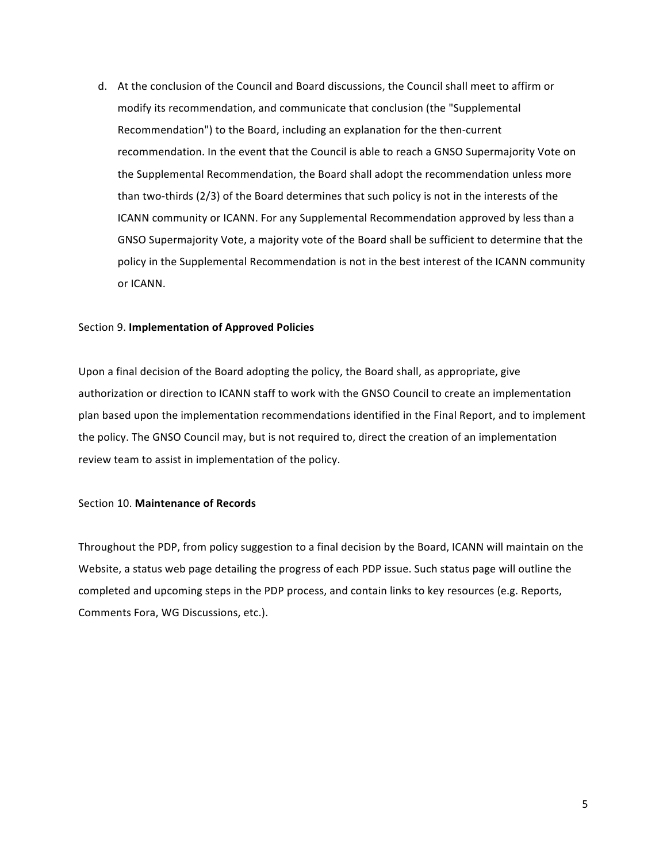d. At the conclusion of the Council and Board discussions, the Council shall meet to affirm or modify its recommendation, and communicate that conclusion (the "Supplemental Recommendation") to the Board, including an explanation for the then-current recommendation. In the event that the Council is able to reach a GNSO Supermajority Vote on the Supplemental Recommendation, the Board shall adopt the recommendation unless more than two-thirds  $(2/3)$  of the Board determines that such policy is not in the interests of the ICANN community or ICANN. For any Supplemental Recommendation approved by less than a GNSO Supermajority Vote, a majority vote of the Board shall be sufficient to determine that the policy in the Supplemental Recommendation is not in the best interest of the ICANN community or ICANN.

#### Section 9. **Implementation of Approved Policies**

Upon a final decision of the Board adopting the policy, the Board shall, as appropriate, give authorization or direction to ICANN staff to work with the GNSO Council to create an implementation plan based upon the implementation recommendations identified in the Final Report, and to implement the policy. The GNSO Council may, but is not required to, direct the creation of an implementation review team to assist in implementation of the policy.

## Section 10. Maintenance of Records

Throughout the PDP, from policy suggestion to a final decision by the Board, ICANN will maintain on the Website, a status web page detailing the progress of each PDP issue. Such status page will outline the completed and upcoming steps in the PDP process, and contain links to key resources (e.g. Reports, Comments Fora, WG Discussions, etc.).